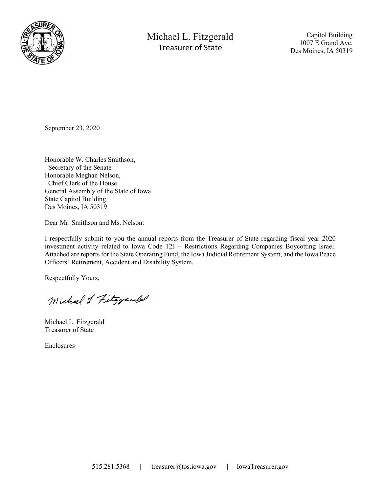

Michael L. Fitzgerald Treasurer of State

 Capitol Building 1007 E Grand Ave. Des Moines, IA 50319

September 23, 2020

Honorable W. Charles Smithson, Secretary of the Senate Honorable Meghan Nelson, Chief Clerk of the House General Assembly of the State of Iowa State Capitol Building Des Moines, IA 50319

Dear Mr. Smithson and Ms. Nelson:

I respectfully submit to you the annual reports from the Treasurer of State regarding fiscal year 2020 investment activity related to Iowa Code 12J – Restrictions Regarding Companies Boycotting Israel. Attached are reports for the State Operating Fund, the Iowa Judicial Retirement System, and the Iowa Peace Officers' Retirement, Accident and Disability System.

Respectfully Yours,

Michael & Fitzgerald

Michael L. Fitzgerald Treasurer of State

Enclosures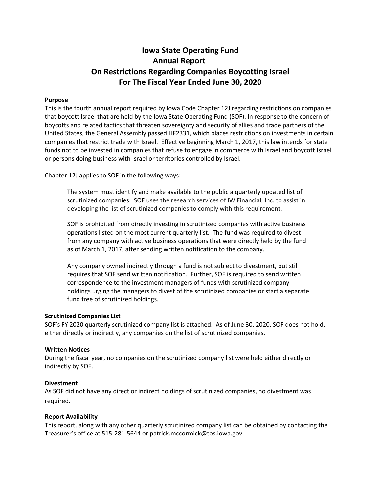# Iowa State Operating Fund Annual Report On Restrictions Regarding Companies Boycotting Israel For The Fiscal Year Ended June 30, 2020

### Purpose

This is the fourth annual report required by Iowa Code Chapter 12J regarding restrictions on companies that boycott Israel that are held by the Iowa State Operating Fund (SOF). In response to the concern of boycotts and related tactics that threaten sovereignty and security of allies and trade partners of the United States, the General Assembly passed HF2331, which places restrictions on investments in certain companies that restrict trade with Israel. Effective beginning March 1, 2017, this law intends for state funds not to be invested in companies that refuse to engage in commerce with Israel and boycott Israel or persons doing business with Israel or territories controlled by Israel.

Chapter 12J applies to SOF in the following ways:

The system must identify and make available to the public a quarterly updated list of scrutinized companies. SOF uses the research services of IW Financial, Inc. to assist in developing the list of scrutinized companies to comply with this requirement.

SOF is prohibited from directly investing in scrutinized companies with active business operations listed on the most current quarterly list. The fund was required to divest from any company with active business operations that were directly held by the fund as of March 1, 2017, after sending written notification to the company.

Any company owned indirectly through a fund is not subject to divestment, but still requires that SOF send written notification. Further, SOF is required to send written correspondence to the investment managers of funds with scrutinized company holdings urging the managers to divest of the scrutinized companies or start a separate fund free of scrutinized holdings.

#### Scrutinized Companies List

SOF's FY 2020 quarterly scrutinized company list is attached. As of June 30, 2020, SOF does not hold, either directly or indirectly, any companies on the list of scrutinized companies.

#### Written Notices

During the fiscal year, no companies on the scrutinized company list were held either directly or indirectly by SOF.

#### Divestment

As SOF did not have any direct or indirect holdings of scrutinized companies, no divestment was required.

## Report Availability

This report, along with any other quarterly scrutinized company list can be obtained by contacting the Treasurer's office at 515-281-5644 or patrick.mccormick@tos.iowa.gov.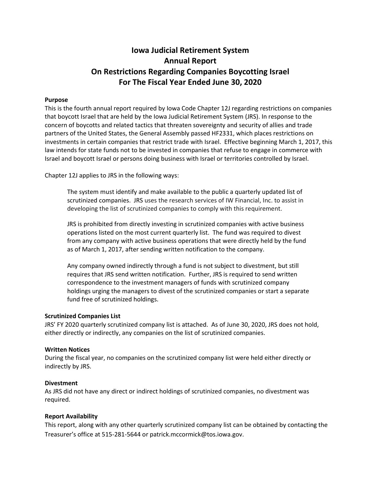# Iowa Judicial Retirement System Annual Report On Restrictions Regarding Companies Boycotting Israel For The Fiscal Year Ended June 30, 2020

### Purpose

This is the fourth annual report required by Iowa Code Chapter 12J regarding restrictions on companies that boycott Israel that are held by the Iowa Judicial Retirement System (JRS). In response to the concern of boycotts and related tactics that threaten sovereignty and security of allies and trade partners of the United States, the General Assembly passed HF2331, which places restrictions on investments in certain companies that restrict trade with Israel. Effective beginning March 1, 2017, this law intends for state funds not to be invested in companies that refuse to engage in commerce with Israel and boycott Israel or persons doing business with Israel or territories controlled by Israel.

Chapter 12J applies to JRS in the following ways:

The system must identify and make available to the public a quarterly updated list of scrutinized companies. JRS uses the research services of IW Financial, Inc. to assist in developing the list of scrutinized companies to comply with this requirement.

JRS is prohibited from directly investing in scrutinized companies with active business operations listed on the most current quarterly list. The fund was required to divest from any company with active business operations that were directly held by the fund as of March 1, 2017, after sending written notification to the company.

Any company owned indirectly through a fund is not subject to divestment, but still requires that JRS send written notification. Further, JRS is required to send written correspondence to the investment managers of funds with scrutinized company holdings urging the managers to divest of the scrutinized companies or start a separate fund free of scrutinized holdings.

#### Scrutinized Companies List

JRS' FY 2020 quarterly scrutinized company list is attached. As of June 30, 2020, JRS does not hold, either directly or indirectly, any companies on the list of scrutinized companies.

#### Written Notices

During the fiscal year, no companies on the scrutinized company list were held either directly or indirectly by JRS.

#### Divestment

As JRS did not have any direct or indirect holdings of scrutinized companies, no divestment was required.

#### Report Availability

This report, along with any other quarterly scrutinized company list can be obtained by contacting the Treasurer's office at 515-281-5644 or patrick.mccormick@tos.iowa.gov.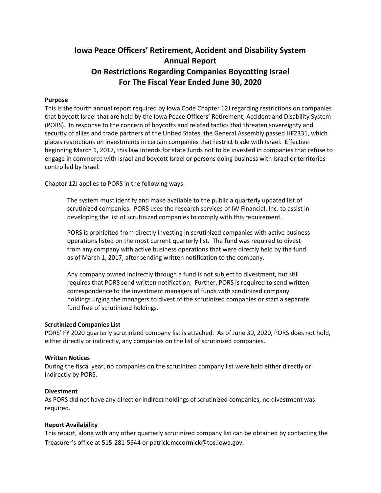# Iowa Peace Officers' Retirement, Accident and Disability System Annual Report On Restrictions Regarding Companies Boycotting Israel For The Fiscal Year Ended June 30, 2020

### Purpose

This is the fourth annual report required by Iowa Code Chapter 12J regarding restrictions on companies that boycott Israel that are held by the Iowa Peace Officers' Retirement, Accident and Disability System (PORS). In response to the concern of boycotts and related tactics that threaten sovereignty and security of allies and trade partners of the United States, the General Assembly passed HF2331, which places restrictions on investments in certain companies that restrict trade with Israel. Effective beginning March 1, 2017, this law intends for state funds not to be invested in companies that refuse to engage in commerce with Israel and boycott Israel or persons doing business with Israel or territories controlled by Israel.

Chapter 12J applies to PORS in the following ways:

The system must identify and make available to the public a quarterly updated list of scrutinized companies. PORS uses the research services of IW Financial, Inc. to assist in developing the list of scrutinized companies to comply with this requirement.

PORS is prohibited from directly investing in scrutinized companies with active business operations listed on the most current quarterly list. The fund was required to divest from any company with active business operations that were directly held by the fund as of March 1, 2017, after sending written notification to the company.

Any company owned indirectly through a fund is not subject to divestment, but still requires that PORS send written notification. Further, PORS is required to send written correspondence to the investment managers of funds with scrutinized company holdings urging the managers to divest of the scrutinized companies or start a separate fund free of scrutinized holdings.

#### Scrutinized Companies List

PORS' FY 2020 quarterly scrutinized company list is attached. As of June 30, 2020, PORS does not hold, either directly or indirectly, any companies on the list of scrutinized companies.

#### Written Notices

During the fiscal year, no companies on the scrutinized company list were held either directly or indirectly by PORS.

#### Divestment

As PORS did not have any direct or indirect holdings of scrutinized companies, no divestment was required.

#### Report Availability

This report, along with any other quarterly scrutinized company list can be obtained by contacting the Treasurer's office at 515-281-5644 or patrick.mccormick@tos.iowa.gov.